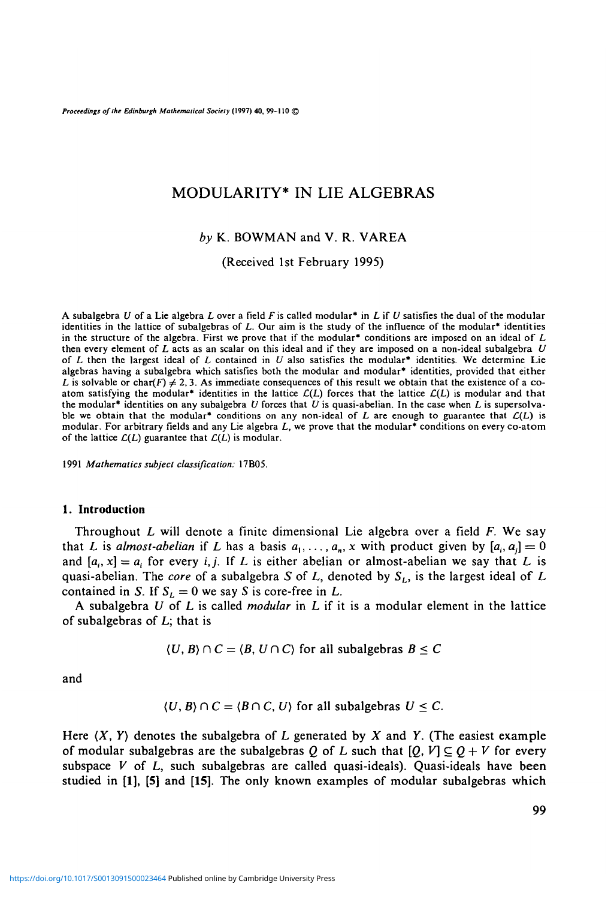*Proceedings of the Edinburgh Mathematical Society* **(1997) 40, 99-110 ©**

# MODULARITY\* IN LIE ALGEBRAS

## *by* K. BOWMAN and V. R. VAREA

(Received 1st February 1995)

A subalgebra U of a Lie algebra L over a field F is called modular\* in L if U satisfies the dual of the modular identities in the lattice of subalgebras of L. Our aim is the study of the influence of the modular\* identiti of L then the largest ideal of L contained in U also satisfies the modular<sup>\*</sup> identities. We determine Lie algebras having a subalgebra which satisfies both the modular and modular<sup>\*</sup> identities, provided that either L is ble we obtain that the modular<sup>\*</sup> conditions on any non-ideal of L are enough to guarantee that  $\mathcal{L}(L)$  is modular. For arbitrary fields and any Lie algebra L, we prove that the modular<sup>\*</sup> conditions on every co-atom o

1991 *Mathematics subject classification:* 17B05.

### **1. Introduction**

Throughout *L* will denote a finite dimensional Lie algebra over a field *F.* We say that *L* is *almost-abelian* if *L* has a basis  $a_1, \ldots, a_n$ , *x* with product given by  $[a_i, a_j] = 0$ and  $[a_i, x] = a_i$  for every *i, j.* If *L* is either abelian or almost-abelian we say that *L* is quasi-abelian. The *core* of a subalgebra *S* of *L,* denoted by *SL,* is the largest ideal of *L* contained in *S*. If  $S_L = 0$  we say *S* is core-free in *L*.

A subalgebra *U* of *L* is called *modular* in *L* if it is a modular element in the lattice of subalgebras of L; that is

$$
\langle U, B \rangle \cap C = \langle B, U \cap C \rangle \text{ for all subalgebras } B \leq C
$$

and

$$
\langle U, B \rangle \cap C = \langle B \cap C, U \rangle \text{ for all subalgebras } U \leq C.
$$

Here *(X, Y)* denotes the subalgebra of L generated by *X* and *Y.* (The easiest example of modular subalgebras are the subalgebras Q of L such that  $[Q, V] \subseteq Q + V$  for every subspace  $V$  of  $L$ , such subalgebras are called quasi-ideals). Quasi-ideals have been studied in **[1], [5]** and **[15].** The only known examples of modular subalgebras which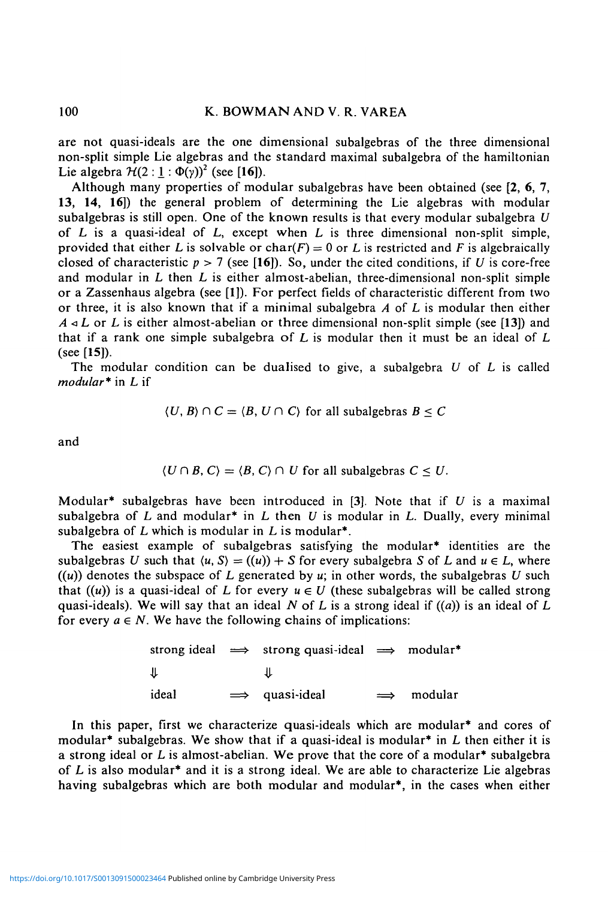are not quasi-ideals are the one dimensional subalgebras of the three dimensional non-split simple Lie algebras and the standard maximal subalgebra of the hamiltonian Lie algebra  $H(2:1: \Phi(y))^2$  (see [16]).

Although many properties of modular subalgebras have been obtained (see  $[2, 6, 7]$ , 13, 14, **16])** the general problem of determining the Lie algebras with modular subalgebras is still open. One of the known results is that every modular subalgebra *U* of L is a quasi-ideal of L, except when *L* is three dimensional non-split simple, provided that either L is solvable or char( $F$ ) = 0 or L is restricted and F is algebraically closed of characteristic  $p > 7$  (see [16]). So, under the cited conditions, if U is core-free and modular in *L* then L is either almost-abelian, three-dimensional non-split simple or a Zassenhaus algebra (see [1]). For perfect fields of characteristic different from two or three, it is also known that if a minimal subalgebra *A* of L is modular then either *A*  $\triangleleft$  *L* or *L* is either almost-abelian or three dimensional non-split simple (see [13]) and that if a rank one simple subalgebra of *L* is modular then it must be an ideal of L (see [15]).

The modular condition can be dualised to give, a subalgebra *U* of *L* is called *modular\** in L if

$$
\langle U, B \rangle \cap C = \langle B, U \cap C \rangle \text{ for all subalgebras } B \leq C
$$

and

$$
\langle U \cap B, C \rangle = \langle B, C \rangle \cap U \text{ for all subalgebras } C \leq U.
$$

Modular\* subalgebras have been introduced in [3]. Note that if *U* is a maximal subalgebra of L and modular\* in L then *U* is modular in *L.* Dually, every minimal subalgebra of *L* which is modular in *L* is modular\*.

The easiest example of subalgebras satisfying the modular\* identities are the subalgebras U such that  $\langle u, S \rangle = ((u)) + S$  for every subalgebra S of L and  $u \in L$ , where  $((u))$  denotes the subspace of L generated by u; in other words, the subalgebras U such that  $((u))$  is a quasi-ideal of L for every  $u \in U$  (these subalgebras will be called strong quasi-ideals). We will say that an ideal N of L is a strong ideal if ((a)) is an ideal of L for every  $a \in N$ . We have the following chains of implications:

> strong ideal  $\implies$  strong quasi-ideal  $\implies$  modular\* *a-*⇓ ideal *=>* quasi-ideal modular

In this paper, first we characterize quasi-ideals which are modular\* and cores of modular<sup>\*</sup> subalgebras. We show that if a quasi-ideal is modular<sup>\*</sup> in  $L$  then either it is a strong ideal or *L* is almost-abelian. We prove that the core of a modular\* subalgebra of L is also modular\* and it is a strong ideal. We are able to characterize Lie algebras having subalgebras which are both modular and modular\*, in the cases when either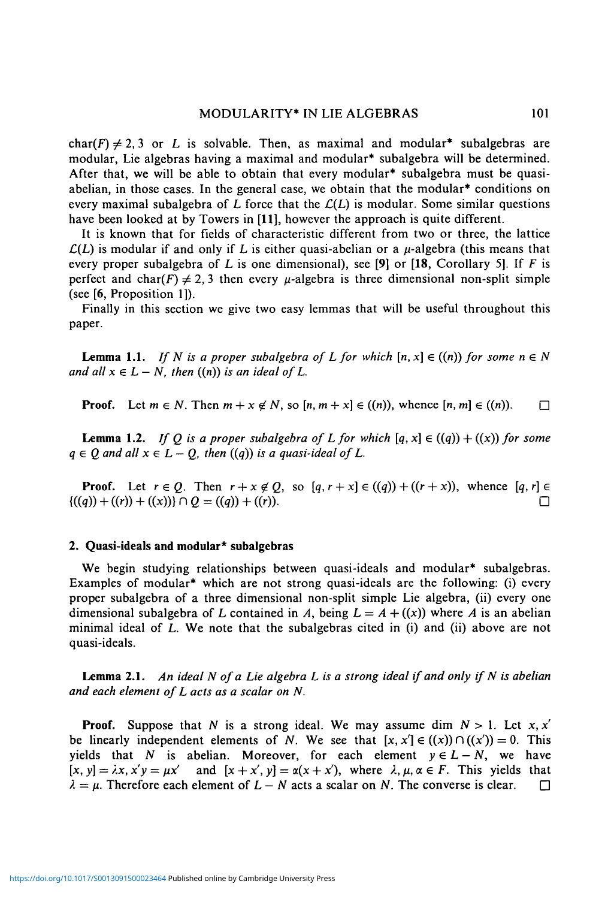## MODULARITY\* IN LIE ALGEBRAS 101

char(F)  $\neq$  2,3 or *L* is solvable. Then, as maximal and modular<sup>\*</sup> subalgebras are modular, Lie algebras having a maximal and modular\* subalgebra will be determined. After that, we will be able to obtain that every modular\* subalgebra must be quasiabelian, in those cases. In the general case, we obtain that the modular\* conditions on every maximal subalgebra of L force that the  $\mathcal{L}(L)$  is modular. Some similar questions have been looked at by Towers in **[11],** however the approach is quite different.

It is known that for fields of characteristic different from two or three, the lattice  $\mathcal{L}(L)$  is modular if and only if L is either quasi-abelian or a  $\mu$ -algebra (this means that every proper subalgebra of L is one dimensional), see [9] or [18, Corollary 5]. If *F* is perfect and char(F)  $\neq$  2, 3 then every  $\mu$ -algebra is three dimensional non-split simple (see [6, Proposition 1]).

Finally in this section we give two easy lemmas that will be useful throughout this paper.

**Lemma 1.1.** *If* N is a proper subalgebra of L for which  $[n, x] \in ((n))$  for some  $n \in N$ *and all*  $x \in L - N$ *, then*  $((n))$  *is an ideal of L.* 

**Proof.** Let  $m \in N$ . Then  $m + x \notin N$ , so  $[n, m + x] \in ((n))$ , whence  $[n, m] \in ((n))$ .

**Lemma 1.2.** *If Q is a proper subalgebra of L for which*  $[q, x] \in ((q)) + ((x))$  *for some*  $q \in Q$  and all  $x \in L - Q$ , then  $((q))$  is a quasi-ideal of L.

**Proof.** Let  $r \in Q$ . Then  $r + x \notin Q$ , so  $[q, r + x] \in ((q)) + ((r + x))$ , whence  $[q, r] \in$  $\{(q) + ((r)) + ((x))\} \cap Q = ((q)) + ((r)).$ 

### **2. Quasi-ideals and modular\* subalgebras**

We begin studying relationships between quasi-ideals and modular\* subalgebras. Examples of modular\* which are not strong quasi-ideals are the following: (i) every proper subalgebra of a three dimensional non-split simple Lie algebra, (ii) every one dimensional subalgebra of L contained in A, being  $L = A + ((x))$  where A is an abelian minimal ideal of *L.* We note that the subalgebras cited in (i) and (ii) above are not quasi-ideals.

**Lemma 2.1.** *An ideal N of a Lie algebra L is a strong ideal if and only if N is abelian and each element of L acts as a scalar on N.*

**Proof.** Suppose that N is a strong ideal. We may assume dim  $N > 1$ . Let x, x' be linearly independent elements of *N*. We see that  $[x, x'] \in ((x)) \cap ((x')) = 0$ . This yields that N is abelian. Moreover, for each element  $y \in L - N$ , we have  $[x, y] = \lambda x, x'y = \mu x'$  and  $[x + x', y] = \alpha(x + x')$ , where  $\lambda, \mu, \alpha \in F$ . This yields that  $\lambda = \mu$ . Therefore each element of  $L - N$  acts a scalar on N. The converse is clear.  $\square$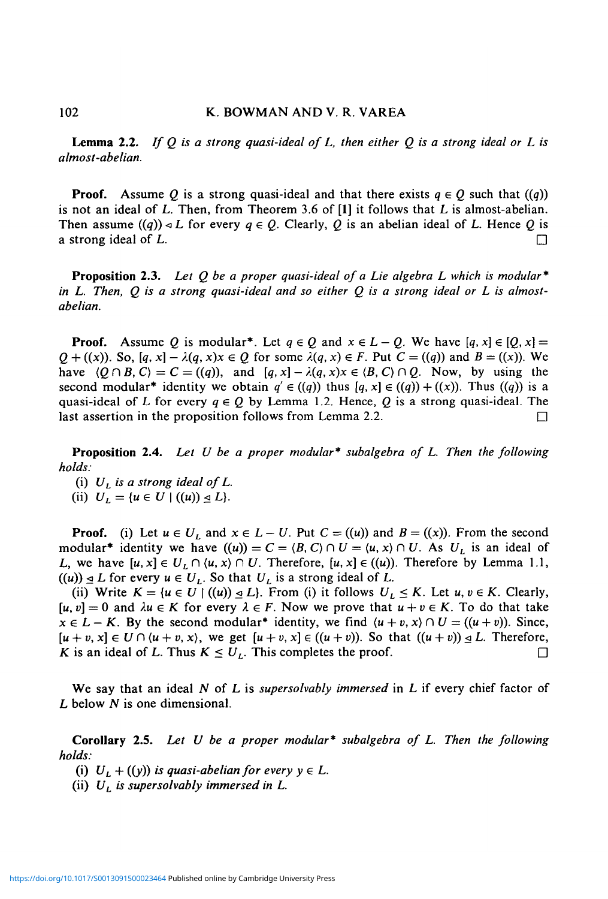**Lemma 2.2.** *If Q is a strong quasi-ideal of L, then either Q is a strong ideal or L is almost-abelian.*

**Proof.** Assume Q is a strong quasi-ideal and that there exists  $q \in Q$  such that  $((q))$ is not an ideal of L. Then, from Theorem 3.6 of **[1]** it follows that *L* is almost-abelian. Then assume  $((q)) \triangleleft L$  for every  $q \in Q$ . Clearly, Q is an abelian ideal of L. Hence Q is a strong ideal of L.  $\Box$ 

**Proposition 2.3.** *Let Q be a proper quasi-ideal of a Lie algebra L which is modular\* in L. Then, Q is a strong quasi-ideal and so either Q is a strong ideal or L is almostabelian.*

**Proof.** Assume Q is modular<sup>\*</sup>. Let  $q \in Q$  and  $x \in L - Q$ . We have  $[q, x] \in [Q, x] =$ *Q* + ((x)). So,  $[q, x] - \lambda(q, x)x \in Q$  for some  $\lambda(q, x) \in F$ . Put  $C = ((q))$  and  $B = ((x))$ . We have  $\langle Q \cap B, C \rangle = C = ((q))$ , and  $[q, x] - \lambda(q, x)x \in \langle B, C \rangle \cap Q$ . Now, by using the second modular<sup>\*</sup> identity we obtain  $q' \in ((q) )$  thus  $[q, x] \in ((q)) + ((x))$ . Thus  $((q) )$  is a quasi-ideal of L for every  $q \in Q$  by Lemma 1.2. Hence, Q is a strong quasi-ideal. The last assertion in the proposition follows from Lemma 2.2.  $\Box$ 

**Proposition 2.4.** *Let U be a proper modular\* subalgebra of L. Then the following holds:*

(i)  $U_L$  is a strong ideal of  $L$ . (ii)  $U_L = \{u \in U \mid ((u)) \leq L\}.$ 

**Proof.** (i) Let  $u \in U_L$  and  $x \in L - U$ . Put  $C = ((u))$  and  $B = ((x))$ . From the second modular<sup>\*</sup> identity we have  $((u)) = C = (B, C) \cap U = (u, x) \cap U$ . As  $U_L$  is an ideal of L, we have  $[u, x] \in U_L \cap \langle u, x \rangle \cap U$ . Therefore,  $[u, x] \in ((u))$ . Therefore by Lemma 1.1,  $((u)) \trianglelefteq L$  for every  $u \in U_L$ . So that  $U_L$  is a strong ideal of L.

(ii) Write  $K = \{u \in U \mid ((u)) \leq L\}$ . From (i) it follows  $U_L \leq K$ . Let  $u, v \in K$ . Clearly,  $[u, v] = 0$  and  $\lambda u \in K$  for every  $\lambda \in F$ . Now we prove that  $u + v \in K$ . To do that take  $x \in L - K$ . By the second modular<sup>\*</sup> identity, we find  $\langle u + v, x \rangle \cap U = ((u + v))$ . Since,  $[u + v, x] \in U \cap (u + v, x)$ , we get  $[u + v, x] \in ((u + v))$ . So that  $((u + v)) \subseteq L$ . Therefore, K is an ideal of L. Thus  $K \le U_L$ . This completes the proof.

We say that an ideal *N* of L is *supersolvably immersed* in *L* if every chief factor of *L* below *N* is one dimensional.

**Corollary 2.5.** *Let U be a proper modular\* subalgebra of L. Then the following holds:*

(i)  $U_L + ((y))$  is quasi-abelian for every  $y \in L$ .

(ii) *UL is supersolvably immersed in L.*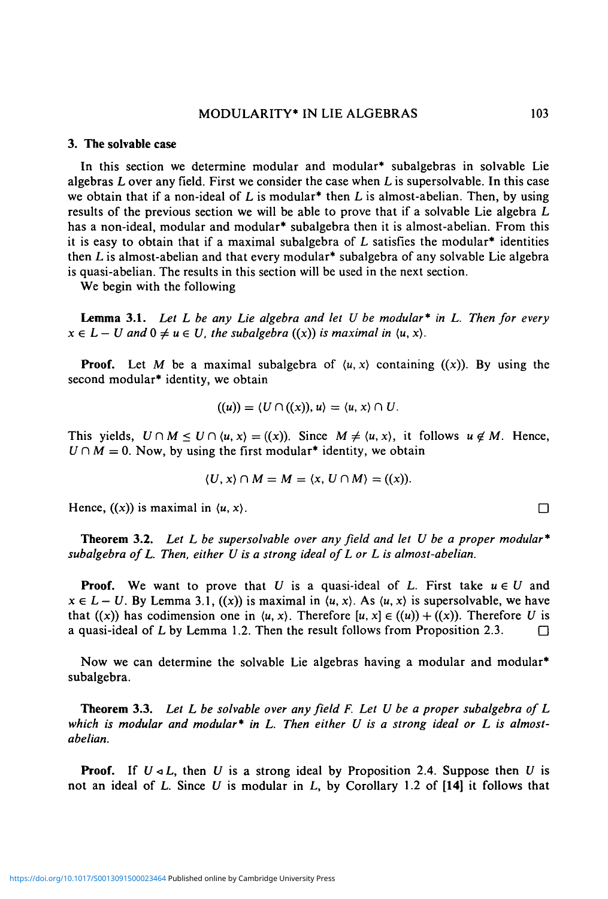## MODULARITY\* IN LIE ALGEBRAS 103

### **3. The solvable case**

In this section we determine modular and modular\* subalgebras in solvable Lie algebras *L* over any field. First we consider the case when *L* is supersolvable. In this case we obtain that if a non-ideal of *L* is modular\* then L is almost-abelian. Then, by using results of the previous section we will be able to prove that if a solvable Lie algebra *L* has a non-ideal, modular and modular<sup>\*</sup> subalgebra then it is almost-abelian. From this it is easy to obtain that if a maximal subalgebra of  $L$  satisfies the modular<sup>\*</sup> identities then *L* is almost-abelian and that every modular\* subalgebra of any solvable Lie algebra is quasi-abelian. The results in this section will be used in the next section.

We begin with the following

**Lemma** 3.1. *Let L be any Lie algebra and let U be modular\* in L. Then for every*  $x \in L-U$  and  $0 \neq u \in U$ , the subalgebra  $((x))$  is maximal in  $\langle u, x \rangle$ .

**Proof.** Let M be a maximal subalgebra of  $\langle u, x \rangle$  containing  $(\langle x \rangle)$ . By using the second modular\* identity, we obtain

$$
((u)) = \langle U \cap ((x)), u \rangle = \langle u, x \rangle \cap U.
$$

This yields,  $U \cap M \leq U \cap \langle u, x \rangle = (\langle x \rangle)$ . Since  $M \neq \langle u, x \rangle$ , it follows  $u \notin M$ . Hence,  $U \cap M = 0$ . Now, by using the first modular<sup>\*</sup> identity, we obtain

$$
\langle U, x \rangle \cap M = M = \langle x, U \cap M \rangle = ((x)).
$$

Hence,  $((x))$  is maximal in  $\langle u, x \rangle$ .

**Theorem 3.2.** *Let L be supersolvable over any field and let U be a proper modular\* subalgebra of L. Then, either U is a strong ideal of L or L is almost-abelian.*

**Proof.** We want to prove that U is a quasi-ideal of L. First take  $u \in U$  and  $x \in L - U$ . By Lemma 3.1,  $((x))$  is maximal in  $\langle u, x \rangle$ . As  $\langle u, x \rangle$  is supersolvable, we have that  $((x))$  has codimension one in  $(u, x)$ . Therefore  $[u, x] \in ((u)) + ((x))$ . Therefore U is a quasi-ideal of L by Lemma 1.2. Then the result follows from Proposition 2.3.  $\Box$ 

Now we can determine the solvable Lie algebras having a modular and modular<sup>\*</sup> subalgebra.

**Theorem 3.3.** *Let L be solvable over any field F. Let U be a proper subalgebra of L which is modular and modular\* in L. Then either U is a strong ideal or L is almostabelian.*

**Proof.** If *U<L,* then *U* is a strong ideal by Proposition 2.4. Suppose then *U* is not an ideal of L. Since *U* is modular in L, by Corollary 1.2 of **[14]** it follows that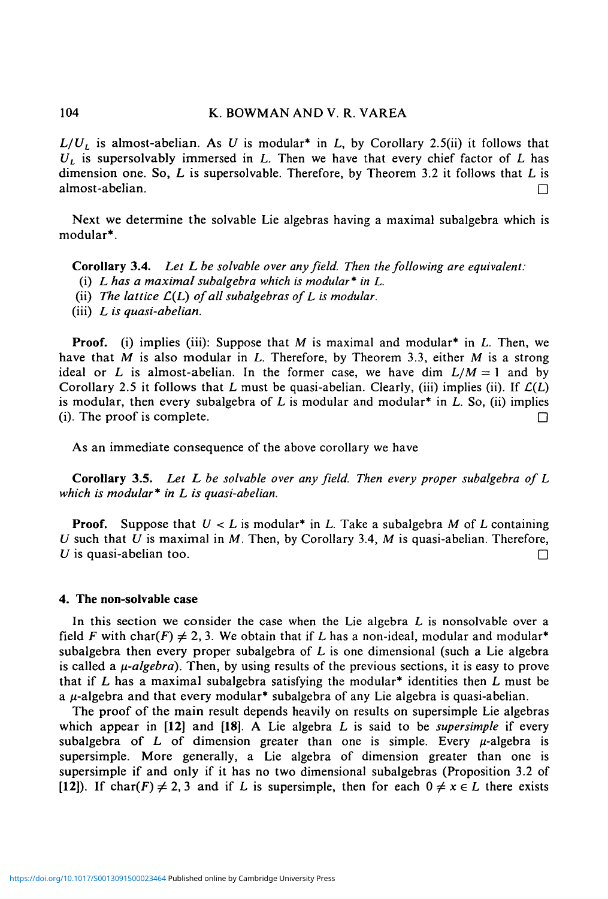## 104 K. BOWMAN AND V. R. VAREA

 $L/U_L$  is almost-abelian. As U is modular<sup>\*</sup> in L, by Corollary 2.5(ii) it follows that *UL* is supersolvably immersed in *L.* Then we have that every chief factor of *L* has dimension one. So, *L* is supersolvable. Therefore, by Theorem 3.2 it follows that L is almost-abelian. •

Next we determine the solvable Lie algebras having a maximal subalgebra which is modular\*.

**Corollary 3.4.** *Let L be solvable over any field. Then the following are equivalent:*

- (i) *L has a maximal subalgebra which is modular\* in L.*
- (ii) *The lattice* £(L) *of all subalgebras of L is modular.*
- (iii) *L is quasi-abelian.*

**Proof,** (i) implies (iii): Suppose that M is maximal and modular\* in *L.* Then, we have that *M* is also modular in *L.* Therefore, by Theorem 3.3, either M is a strong ideal or L is almost-abelian. In the former case, we have dim  $L/M = 1$  and by Corollary 2.5 it follows that L must be quasi-abelian. Clearly, (iii) implies (ii). If  $\mathcal{L}(L)$ is modular, then every subalgebra of  $L$  is modular and modular<sup>\*</sup> in  $L$ . So, (ii) implies (i). The proof is complete.  $\Box$ 

As an immediate consequence of the above corollary we have

**Corollary 3.5.** *Let L be solvable over any field. Then every proper subalgebra of L which is modular\* in L is quasi-abelian.*

**Proof.** Suppose that *U < L* is modular\* in L. Take a subalgebra *M* of *L* containing *U* such that *U* is maximal in *M.* Then, by Corollary 3.4, *M* is quasi-abelian. Therefore, *U* is quasi-abelian too.  $\Box$ 

#### **4. The non-solvable case**

In this section we consider the case when the Lie algebra *L* is nonsolvable over a field F with char(F)  $\neq$  2, 3. We obtain that if L has a non-ideal, modular and modular<sup>\*</sup> subalgebra then every proper subalgebra of  $L$  is one dimensional (such a Lie algebra is called a  $\mu$ -algebra). Then, by using results of the previous sections, it is easy to prove that if  $L$  has a maximal subalgebra satisfying the modular<sup>\*</sup> identities then  $L$  must be a  $\mu$ -algebra and that every modular<sup>\*</sup> subalgebra of any Lie algebra is quasi-abelian.

The proof of the main result depends heavily on results on supersimple Lie algebras which appear in **[12]** and **[18].** A Lie algebra *L* is said to be *supersimple* if every subalgebra of L of dimension greater than one is simple. Every  $\mu$ -algebra is supersimple. More generally, a Lie algebra of dimension greater than one is supersimple if and only if it has no two dimensional subalgebras (Proposition 3.2 of [12]). If char(F)  $\neq$  2, 3 and if L is supersimple, then for each  $0 \neq x \in L$  there exists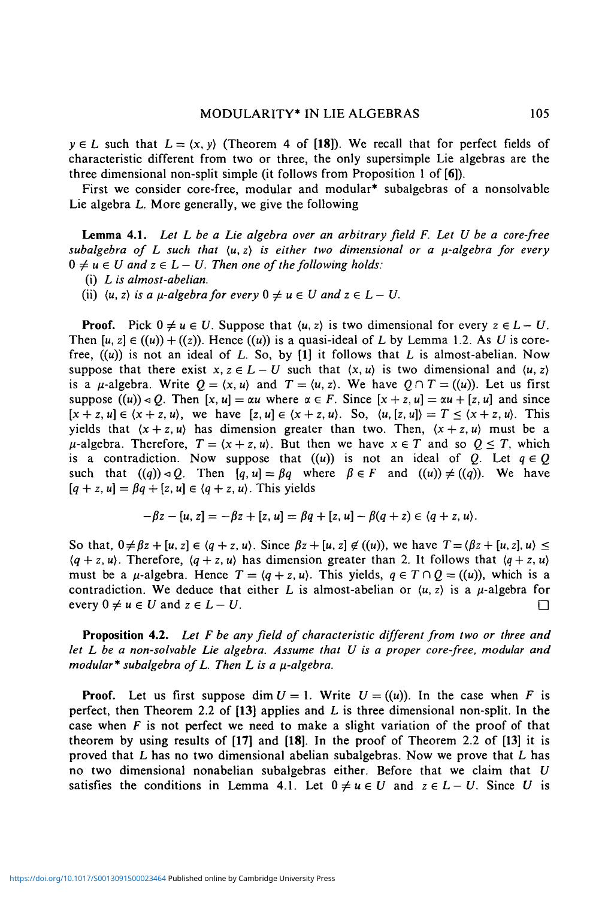$y \in L$  such that  $L = \langle x, y \rangle$  (Theorem 4 of [18]). We recall that for perfect fields of characteristic different from two or three, the only supersimple Lie algebras are the three dimensional non-split simple (it follows from Proposition 1 of [6]).

First we consider core-free, modular and modular\* subalgebras of a nonsolvable Lie algebra L. More generally, we give the following

**Lemma 4.1.** *Let L be a Lie algebra over an arbitrary field F. Let U be a core-free* subalgebra of L such that  $\langle u, z \rangle$  is either two dimensional or a  $\mu$ -algebra for every  $0 \neq u \in U$  and  $z \in L-U$ . Then one of the following holds:

(i) *L is almost-abelian.*

(ii)  $\langle u, z \rangle$  *is a*  $\mu$ *-algebra for every*  $0 \neq u \in U$  *and*  $z \in L - U$ *.* 

**Proof.** Pick  $0 \neq u \in U$ . Suppose that  $\langle u, z \rangle$  is two dimensional for every  $z \in L - U$ . Then  $[u, z] \in ((u)) + ((z))$ . Hence  $((u))$  is a quasi-ideal of L by Lemma 1.2. As U is corefree,  $((u))$  is not an ideal of L. So, by  $[1]$  it follows that L is almost-abelian. Now suppose that there exist  $x, z \in L - U$  such that  $\langle x, u \rangle$  is two dimensional and  $\langle u, z \rangle$ is a  $\mu$ -algebra. Write  $Q = \langle x, u \rangle$  and  $T = \langle u, z \rangle$ . We have  $Q \cap T = ((u))$ . Let us first suppose  $((u)) \triangleleft Q$ . Then  $[x, u] = \alpha u$  where  $\alpha \in F$ . Since  $[x + z, u] = \alpha u + [z, u]$  and since  $[x + z, u] \in \langle x + z, u \rangle$ , we have  $[z, u] \in \langle x + z, u \rangle$ . So,  $\langle u, [z, u] \rangle = T \le \langle x + z, u \rangle$ . This yields that  $(x + z, u)$  has dimension greater than two. Then,  $(x + z, u)$  must be a  $\mu$ -algebra. Therefore,  $T = \langle x + z, u \rangle$ . But then we have  $x \in T$  and so  $Q \leq T$ , which is a contradiction. Now suppose that  $((u))$  is not an ideal of Q. Let  $q \in Q$ such that  $((q)) \triangleleft Q$ . Then  $[q, u] = \beta q$  where  $\beta \in F$  and  $((u)) \neq ((q))$ . We have  $[q + z, u] = \beta q + [z, u] \in \langle q + z, u \rangle$ . This yields

$$
-\beta z - [u, z] = -\beta z + [z, u] = \beta q + [z, u] - \beta (q + z) \in \langle q + z, u \rangle.
$$

So that,  $0 \neq \beta z + [u, z] \in \langle q + z, u \rangle$ . Since  $\beta z + [u, z] \notin ((u))$ , we have  $T = \langle \beta z + [u, z], u \rangle \leq$  $(q + z, u)$ . Therefore,  $(q + z, u)$  has dimension greater than 2. It follows that  $(q + z, u)$ must be a  $\mu$ -algebra. Hence  $T = \langle q + z, u \rangle$ . This yields,  $q \in T \cap Q = ((u))$ , which is a contradiction. We deduce that either *L* is almost-abelian or  $\langle u, z \rangle$  is a  $\mu$ -algebra for every  $0 \neq u \in U$  and  $z \in L - U$ .

**Proposition 4.2.** Let F be any field of characteristic different from two or three and *let L be a non-solvable Lie algebra. Assume that U is a proper core-free, modular and modular\* subalgebra of L. Then L is a \i-algebra.*

**Proof.** Let us first suppose dim  $U = 1$ . Write  $U = ((u))$ . In the case when F is perfect, then Theorem 2.2 of **[13]** applies and L is three dimensional non-split. In the case when *F* is not perfect we need to make a slight variation of the proof of that theorem by using results of **[17]** and **[18]. In** the proof of Theorem 2.2 of [13] it is proved that *L* has no two dimensional abelian subalgebras. Now we prove that L has no two dimensional nonabelian subalgebras either. Before that we claim that *U* satisfies the conditions in Lemma 4.1. Let  $0 \neq u \in U$  and  $z \in L-U$ . Since *U* is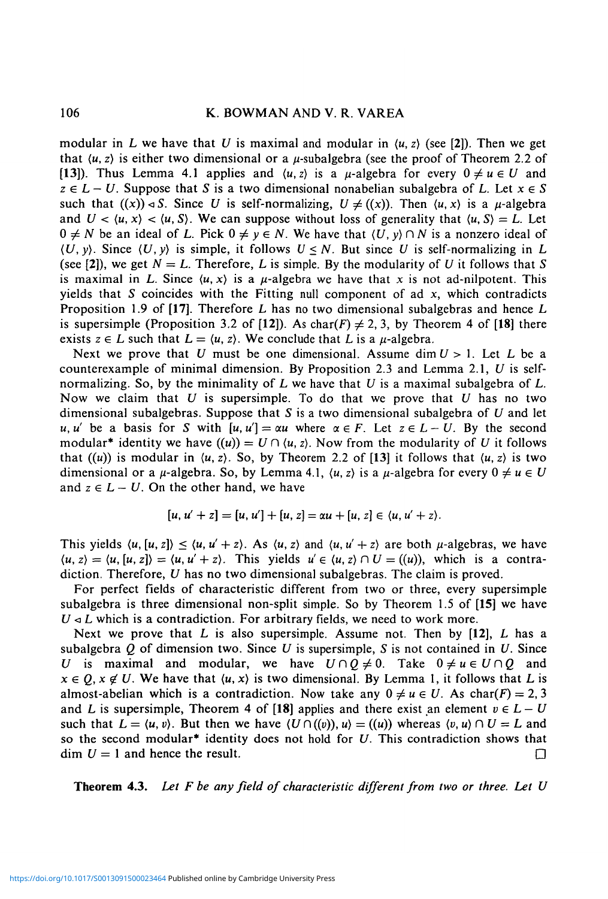modular in L we have that U is maximal and modular in  $\langle u, z \rangle$  (see [2]). Then we get that  $\langle u, z \rangle$  is either two dimensional or a  $\mu$ -subalgebra (see the proof of Theorem 2.2 of [13]). Thus Lemma 4.1 applies and  $\langle u, z \rangle$  is a  $\mu$ -algebra for every  $0 \neq u \in U$  and  $z \in L - U$ . Suppose that S is a two dimensional nonabelian subalgebra of L. Let  $x \in S$ such that  $((x)) \triangleleft S$ . Since U is self-normalizing,  $U \neq ((x))$ . Then  $(u, x)$  is a  $\mu$ -algebra and  $U < \langle u, x \rangle < \langle u, S \rangle$ . We can suppose without loss of generality that  $\langle u, S \rangle = L$ . Let  $0 \neq N$  be an ideal of L. Pick  $0 \neq y \in N$ . We have that  $\langle U, y \rangle \cap N$  is a nonzero ideal of  $(U, y)$ . Since  $(U, y)$  is simple, it follows  $U \leq N$ . But since U is self-normalizing in L (see [2]), we get  $N = L$ . Therefore, L is simple. By the modularity of U it follows that S is maximal in L. Since  $\langle u, x \rangle$  is a  $\mu$ -algebra we have that x is not ad-nilpotent. This yields that *S* coincides with the Fitting null component of ad *x,* which contradicts Proposition 1.9 of [17]. Therefore *L* has no two dimensional subalgebras and hence *L* is supersimple (Proposition 3.2 of [12]). As char(F)  $\neq$  2, 3, by Theorem 4 of [18] there exists  $z \in L$  such that  $L = \langle u, z \rangle$ . We conclude that L is a  $\mu$ -algebra.

Next we prove that *U* must be one dimensional. Assume dim *U* > 1. Let *L* be a counterexample of minimal dimension. By Proposition 2.3 and Lemma 2.1, *U* is selfnormalizing. So, by the minimality of L we have that *U* is a maximal subalgebra of L. Now we claim that *U* is supersimple. To do that we prove that *U* has no two dimensional subalgebras. Suppose that *S* is a two dimensional subalgebra of *U* and let *u, u'* be a basis for S with  $[u, u'] = \alpha u$  where  $\alpha \in F$ . Let  $z \in L - U$ . By the second modular<sup>\*</sup> identity we have  $((u)) = U \cap (u, z)$ . Now from the modularity of U it follows that  $((u))$  is modular in  $\langle u, z \rangle$ . So, by Theorem 2.2 of [13] it follows that  $\langle u, z \rangle$  is two dimensional or a  $\mu$ -algebra. So, by Lemma 4.1,  $\langle u, z \rangle$  is a  $\mu$ -algebra for every  $0 \neq u \in U$ and  $z \in L - U$ . On the other hand, we have

$$
[u, u' + z] = [u, u'] + [u, z] = \alpha u + [u, z] \in \langle u, u' + z \rangle.
$$

This yields  $\langle u, [u, z] \rangle \le \langle u, u' + z \rangle$ . As  $\langle u, z \rangle$  and  $\langle u, u' + z \rangle$  are both  $\mu$ -algebras, we have  $\langle u, z \rangle = \langle u, [u, z] \rangle = \langle u, u' + z \rangle$ . This yields  $u \in \langle u, z \rangle \cap U = ((u))$ , which is a contradiction. Therefore, *U* has no two dimensional subalgebras. The claim is proved.

For perfect fields of characteristic different from two or three, every supersimple subalgebra is three dimensional non-split simple. So by Theorem 1.5 of [15] we have  $U \triangleleft L$  which is a contradiction. For arbitrary fields, we need to work more.

Next we prove that *L* is also supersimple. Assume not. Then by [12], L has a subalgebra *Q* of dimension two. Since *U* is supersimple, *S* is not contained in *U.* Since *U* is maximal and modular, we have  $U \cap Q \neq 0$ . Take  $0 \neq u \in U \cap Q$  and  $x \in Q$ ,  $x \notin U$ . We have that  $\langle u, x \rangle$  is two dimensional. By Lemma 1, it follows that L is almost-abelian which is a contradiction. Now take any  $0 \neq u \in U$ . As char(F) = 2, 3 and *L* is supersimple, Theorem 4 of [18] applies and there exist an element  $v \in L-U$ such that  $L = \langle u, v \rangle$ . But then we have  $\langle U \cap ((v)), u \rangle = ((u))$  whereas  $\langle v, u \rangle \cap U = L$  and so the second modular\* identity does not hold for *U.* This contradiction shows that  $dim U = 1$  and hence the result.  $\Box$ 

Theorem 4.3. *Let F be any field of characteristic different from two or three. Let U*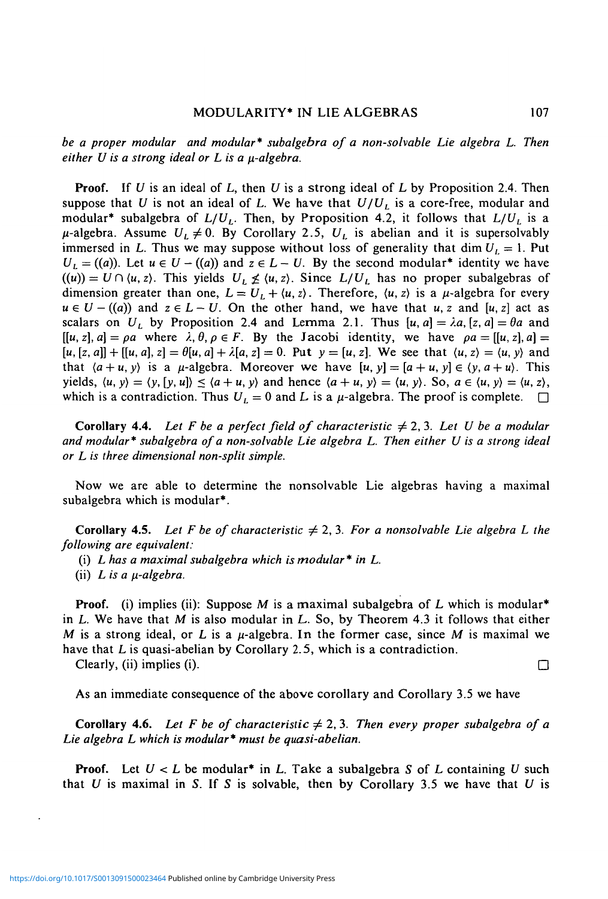*be a proper modular and modular\* subalgebra of a non-solvable Lie algebra L. Then*  $e$ *ither U is a strong ideal or L is a*  $\mu$ *-algebra.* 

**Proof.** If *U* is an ideal of L, then *U* is a strong ideal of L by Proposition 2.4. Then suppose that U is not an ideal of L. We have that  $U/U_L$  is a core-free, modular and modular<sup>\*</sup> subalgebra of  $L/U_L$ . Then, by Proposition 4.2, it follows that  $L/U_L$  is a  $\mu$ -algebra. Assume  $U_L \neq 0$ . By Corollary 2.5,  $U_L$  is abelian and it is supersolvably immersed in L. Thus we may suppose without loss of generality that dim  $U_L = 1$ . Put  $U_L = ((a))$ . Let  $u \in U - ((a))$  and  $z \in L - U$ . By the second modular<sup>\*</sup> identity we have  $((u)) = U \cap (u, z)$ . This yields  $U_L \not\leq (u, z)$ . Since  $L/U_L$  has no proper subalgebras of dimension greater than one,  $L = U_L + \langle u, z \rangle$ . Therefore,  $\langle u, z \rangle$  is a  $\mu$ -algebra for every  $u \in U - ((a))$  and  $z \in L-U$ . On the other hand, we have that *u, z* and  $[u, z]$  act as scalars on U<sub>l</sub> by Proposition 2.4 and Lemma 2.1. Thus  $[u, a] = \lambda a$ ,  $[z, a] = \theta a$  and  $[[u, z], a] = \rho a$  where  $\lambda, \theta, \rho \in F$ . By the Jacobi identity, we have  $\rho a = [[u, z], a] =$  $[u, [z, a]] + [[u, a], z] = \theta[u, a] + \lambda[a, z] = 0$ . Put  $y = [u, z]$ . We see that  $\langle u, z \rangle = \langle u, y \rangle$  and that  $\langle a + u, y \rangle$  is a  $\mu$ -algebra. Moreover we have  $[u, y] = [a + u, y] \in \langle y, a + u \rangle$ . This yields,  $\langle u, y \rangle = \langle y, [y, u] \rangle \le \langle a + u, y \rangle$  and hence  $\langle a + u, y \rangle = \langle u, y \rangle$ . So,  $a \in \langle u, y \rangle = \langle u, z \rangle$ , which is a contradiction. Thus  $U_L = 0$  and L is a  $\mu$ -algebra. The proof is complete.  $\Box$ 

**Corollary 4.4.** Let F be a perfect field of characteristic  $\neq 2, 3$ . Let U be a modular *and modular\* subalgebra of a non-solvable Lie algebra L. Then either U is a strong ideal or L is three dimensional non-split simple.*

Now we are able to determine the nonsolvable Lie algebras having a maximal subalgebra which is modular\*.

**Corollary** 4.5. Let F be of characteristic  $\neq 2, 3$ . For a nonsolvable Lie algebra L the *following are equivalent:*

(i) *L has a maximal subalgebra which is modular \* in L.*

(ii)  $L$  is a  $\mu$ -algebra.

**Proof.** (i) implies (ii): Suppose M is a maximal subalgebra of L which is modular<sup>\*</sup> in L. We have that *M* is also modular in *L..* So, by Theorem 4.3 it follows that either M is a strong ideal, or L is a  $\mu$ -algebra. In the former case, since M is maximal we have that *L* is quasi-abelian by Corollary 2.5, which is a contradiction.

Clearly, (ii) implies (i).  $\Box$ 

As an immediate consequence of the above corollary and Corollary 3.5 we have

**Corollary 4.6.** Let F be of characteristic  $\neq 2, 3$ . Then every proper subalgebra of a *Lie algebra L which is modular\* must be quasi-abelian.*

**Proof.** Let *U < L* be modular\* in *L.* Take a subalgebra *S* of L containing *U* such that *U* is maximal in *S.* If *S* is solvable, then by Corollary 3.5 we have that *U* is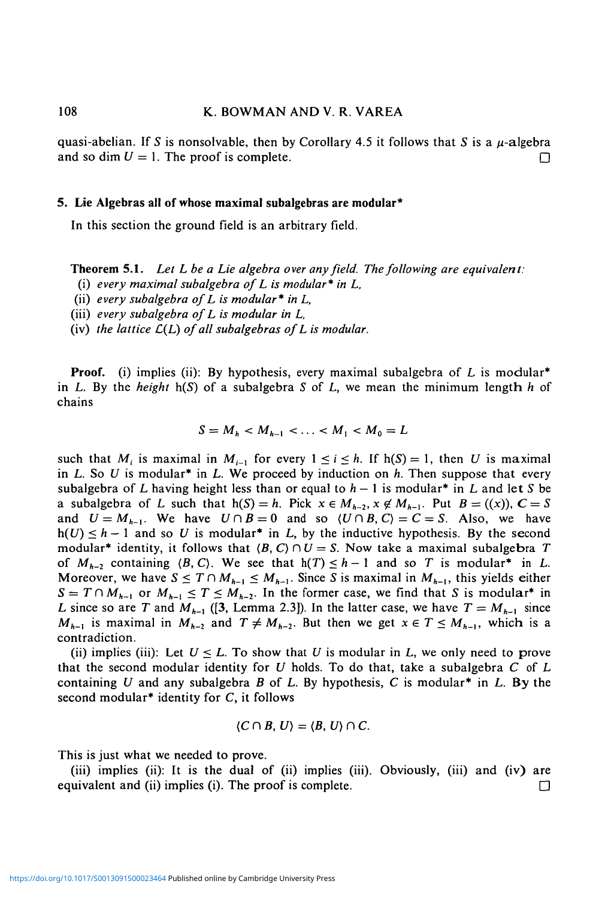### 108 K. BOWMAN AND V. R. VAREA

quasi-abelian. If S is nonsolvable, then by Corollary 4.5 it follows that S is a  $\mu$ -algebra and so dim  $U = 1$ . The proof is complete.

### 5. Lie Algebras all of whose maximal subalgebras are modular\*

In this section the ground field is an arbitrary field.

Theorem 5.1. *Let L be a Lie algebra over any field. The following are equivalent:*

(i) *every maximal subalgebra of L is modular\* in L,*

(ii) *every subalgebra of L is modular\* in L,*

(iii) *every subalgebra of L is modular in L,*

(iv) *the lattice C(L) of all subalgebras of L is modular.*

**Proof.** (i) implies (ii): By hypothesis, every maximal subalgebra of  $L$  is modular<sup>\*</sup> in *L.* By the *height* h(S) of a subalgebra *S* of L, we mean the minimum length *h* of chains

$$
S = M_h < M_{h-1} < \ldots < M_1 < M_0 = L
$$

such that  $M_i$  is maximal in  $M_{i-1}$  for every  $1 \le i \le h$ . If  $h(S) = 1$ , then U is maximal in *L.* So *U* is modular\* in *L.* We proceed by induction on *h.* Then suppose that every subalgebra of L having height less than or equal to  $h - 1$  is modular<sup>\*</sup> in L and let S be a subalgebra of L such that  $h(S) = h$ . Pick  $x \in M_{h-2}$ ,  $x \notin M_{h-1}$ . Put  $B = ((x))$ ,  $C = S$ and  $U = M_{h-1}$ . We have  $U \cap B = 0$  and so  $\langle U \cap B, C \rangle = C = S$ . Also, we have  $h(U) \leq h - 1$  and so U is modular<sup>\*</sup> in L, by the inductive hypothesis. By the second modular<sup>\*</sup> identity, it follows that  $\langle B, C \rangle \cap U = S$ . Now take a maximal subalgebra T of  $M_{h-2}$  containing  $\langle B, C \rangle$ . We see that  $h(T) \leq h - 1$  and so T is modular<sup>\*</sup> in L. Moreover, we have  $S \leq T \cap M_{h-1} \leq M_{h-1}$ . Since *S* is maximal in  $M_{h-1}$ , this yields either  $S = T \cap M_{h-1}$  or  $M_{h-1} \leq T \leq M_{h-2}$ . In the former case, we find that *S* is modular<sup>\*</sup> in L since so are T and  $M_{h-1}$  ([3, Lemma 2.3]). In the latter case, we have  $T = M_{h-1}$  since  $M_{h-1}$  is maximal in  $M_{h-2}$  and  $T \neq M_{h-2}$ . But then we get  $x \in T \leq M_{h-1}$ , which is a contradiction.

(ii) implies (iii): Let  $U \leq L$ . To show that U is modular in L, we only need to prove that the second modular identity for *U* holds. To do that, take a subalgebra *C* of L containing *U* and any subalgebra *B* of L. By hypothesis, C is modular\* in L. By the second modular<sup>\*</sup> identity for  $C$ , it follows

$$
\langle C\cap B,\,U\rangle=\langle B,\,U\rangle\cap C.
$$

This is just what we needed to prove.

(iii) implies (ii): It is the dual of (ii) implies (iii). Obviously, (iii) and (iv) are equivalent and (ii) implies (i). The proof is complete.  $\Box$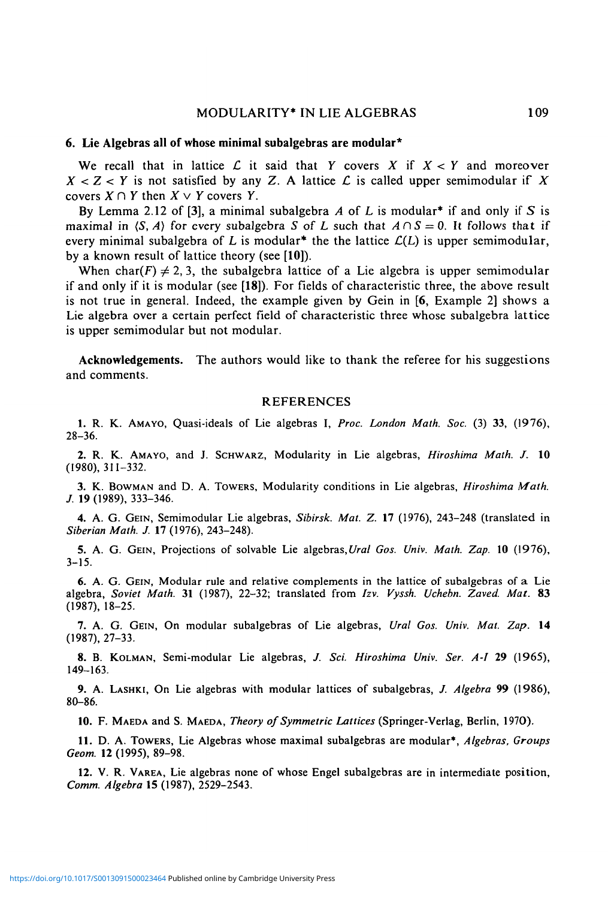### **6. Lie Algebras all of whose minimal subalgebras are modular\***

We recall that in lattice  $\mathcal L$  it said that Y covers X if  $X < Y$  and moreover  $X < Z < Y$  is not satisfied by any Z. A lattice L is called upper semimodular if X covers  $X \cap Y$  then  $X \vee Y$  covers *Y*.

By Lemma 2.12 of [3], a minimal subalgebra *A* of L is modular\* if and only if *S* is maximal in  $\langle S, A \rangle$  for every subalgebra *S* of *L* such that  $A \cap S = 0$ . It follows that if every minimal subalgebra of L is modular<sup>\*</sup> the the lattice  $\mathcal{L}(L)$  is upper semimodular, by a known result of lattice theory (see [10]).

When char(F)  $\neq$  2, 3, the subalgebra lattice of a Lie algebra is upper semimodular if and only if it is modular (see [18]). For fields of characteristic three, the above result is not true in general. Indeed, the example given by Gein in [6, Example 2] shows a Lie algebra over a certain perfect field of characteristic three whose subalgebra lattice is upper semimodular but not modular.

**Acknowledgements.** The authors would like to thank the referee for his suggestions and comments.

### REFERENCES

1. R. K. AMAYO, Quasi-ideals of Lie algebras I, *Proc. London Math. Soc.* (3) 33, (1976), 28-36.

2. R. K. AMAYO, and J. SCHWARZ, Modularity in Lie algebras, *Hiroshima Math. J.* 10 (1980), 311-332.

3. K. BOWMAN and D. A. TOWERS, Modularity conditions in Lie algebras, *Hiroshima Math. J.* 19 (1989), 333-346.

4. A. G. GEIN, Semimodular Lie algebras, *Sibirsk. Mat. Z.* 17 (1976), 243-248 (translated in *Siberian Math. J.* 17 (1976), 243-248).

5. A. G. GEIN, Projections of solvable Lie algebras,*Ural Gos. Univ. Math. Zap.* 10 (1976), 3-15.

6. A. G. GEIN, Modular rule and relative complements in the lattice of subalgebras of a Lie algebra, *Soviet Math.* 31 (1987), 22-32; translated from *Izv. Vyssh. Uchebn. Zaved. Mat.* 83 (1987), 18-25.

7. A. G. GEIN, On modular subalgebras of Lie algebras, *Ural Gos. Univ. Mat. Zap.* 14 (1987), 27-33.

8. B. KOLMAN, Semi-modular Lie algebras, *J. Sci. Hiroshima Univ. Ser. A-I* 29 (1965), 149-163.

9. A. LASHKI, On Lie algebras with modular lattices of subalgebras, *J. Algebra* 99 (1986), 80-86.

10. F. MAEDA and S. MAEDA, *Theory of Symmetric Lattices* (Springer-Verlag, Berlin, 1970).

11. D. A. TOWERS, Lie Algebras whose maximal subalgebras are modular\*, *Algebras, Groups Geom.* 12 (1995), 89-98.

12. V. R. VAREA, Lie algebras none of whose Engel subalgebras are in intermediate position, *Comm. Algebra* IS (1987), 2529-2543.